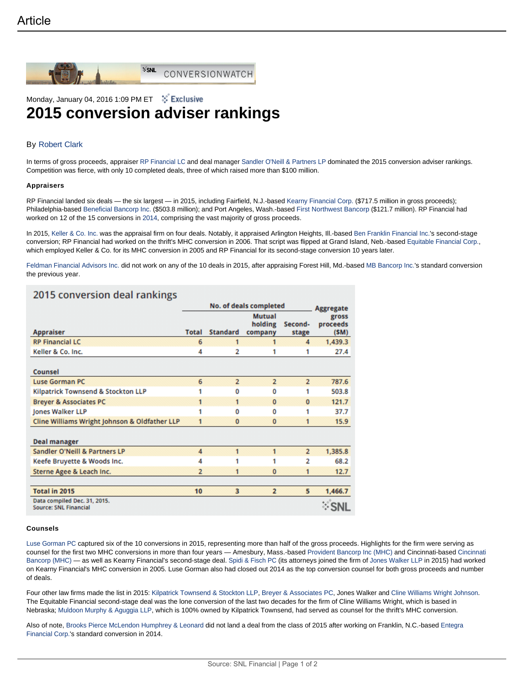

**SSNL** CONVERSIONWATCH

## Monday, January 04, 2016 1:09 PM ET : is Exclusive

# **2015 conversion adviser rankings**

### By Robert Clark

In terms of gross proceeds, appraiser RP Financial LC and deal manager Sandler O'Neill & Partners LP dominated the 2015 conversion adviser rankings. Competition was fierce, with only 10 completed deals, three of which raised more than \$100 million.

#### **Appraisers**

RP Financial landed six deals — the six largest — in 2015, including Fairfield, N.J.-based Kearny Financial Corp. (\$717.5 million in gross proceeds); Philadelphia-based Beneficial Bancorp Inc. (\$503.8 million); and Port Angeles, Wash.-based First Northwest Bancorp (\$121.7 million). RP Financial had worked on 12 of the 15 conversions in 2014, comprising the vast majority of gross proceeds.

In 2015, Keller & Co. Inc. was the appraisal firm on four deals. Notably, it appraised Arlington Heights, Ill.-based Ben Franklin Financial Inc.'s second-stage conversion; RP Financial had worked on the thrift's MHC conversion in 2006. That script was flipped at Grand Island, Neb.-based Equitable Financial Corp., which employed Keller & Co. for its MHC conversion in 2005 and RP Financial for its second-stage conversion 10 years later.

Feldman Financial Advisors Inc. did not work on any of the 10 deals in 2015, after appraising Forest Hill, Md.-based MB Bancorp Inc.'s standard conversion the previous year.

## 2015 conversion deal rankings

| <b>Appraiser</b>                                             | No. of deals completed |                 |                                     |                  | <b>Aggregate</b>          |
|--------------------------------------------------------------|------------------------|-----------------|-------------------------------------|------------------|---------------------------|
|                                                              | <b>Total</b>           | <b>Standard</b> | <b>Mutual</b><br>holding<br>company | Second-<br>stage | gross<br>proceeds<br>(SM) |
| <b>RP Financial LC</b>                                       | 6                      | 1               |                                     | 4                | 1,439.3                   |
| Keller & Co. Inc.                                            | 4                      | 2               |                                     | 1                | 27.4                      |
| Counsel                                                      |                        |                 |                                     |                  |                           |
| <b>Luse Gorman PC</b>                                        | 6                      | $\overline{2}$  | $\overline{2}$                      | $\overline{2}$   | 787.6                     |
| Kilpatrick Townsend & Stockton LLP                           |                        | 0               | 0                                   | 1                | 503.8                     |
| <b>Breyer &amp; Associates PC</b>                            | 1                      | 1               | $\mathbf{0}$                        | $\Omega$         | 121.7                     |
| Jones Walker LLP                                             |                        | 0               | 0                                   | 1                | 37.7                      |
| Cline Williams Wright Johnson & Oldfather LLP                |                        | 0               | $\mathbf 0$                         | 1                | 15.9                      |
| <b>Deal manager</b>                                          |                        |                 |                                     |                  |                           |
| Sandler O'Neill & Partners LP                                | 4                      | 1               | 1                                   | $\overline{2}$   | 1,385.8                   |
| Keefe Bruyette & Woods Inc.                                  | 4                      | 1               | 1                                   | 2                | 68.2                      |
| Sterne Agee & Leach Inc.                                     | $\overline{2}$         | 1               | $\mathbf{0}$                        | 1                | 12.7                      |
| Total in 2015                                                | 10                     | 3               | $\overline{2}$                      | 5                | 1,466.7                   |
| Data compiled Dec. 31, 2015.<br><b>Source: SNL Financial</b> |                        |                 |                                     |                  |                           |

#### **Counsels**

Luse Gorman PC captured six of the 10 conversions in 2015, representing more than half of the gross proceeds. Highlights for the firm were serving as counsel for the first two MHC conversions in more than four years — Amesbury, Mass.-based Provident Bancorp Inc (MHC) and Cincinnati-based Cincinnati Bancorp (MHC) — as well as Kearny Financial's second-stage deal. Spidi & Fisch PC (its attorneys joined the firm of Jones Walker LLP in 2015) had worked on Kearny Financial's MHC conversion in 2005. Luse Gorman also had closed out 2014 as the top conversion counsel for both gross proceeds and number of deals.

Four other law firms made the list in 2015: Kilpatrick Townsend & Stockton LLP, Breyer & Associates PC, Jones Walker and Cline Williams Wright Johnson. The Equitable Financial second-stage deal was the lone conversion of the last two decades for the firm of Cline Williams Wright, which is based in Nebraska; Muldoon Murphy & Aguggia LLP, which is 100% owned by Kilpatrick Townsend, had served as counsel for the thrift's MHC conversion.

Also of note, Brooks Pierce McLendon Humphrey & Leonard did not land a deal from the class of 2015 after working on Franklin, N.C.-based Entegra Financial Corp.'s standard conversion in 2014.